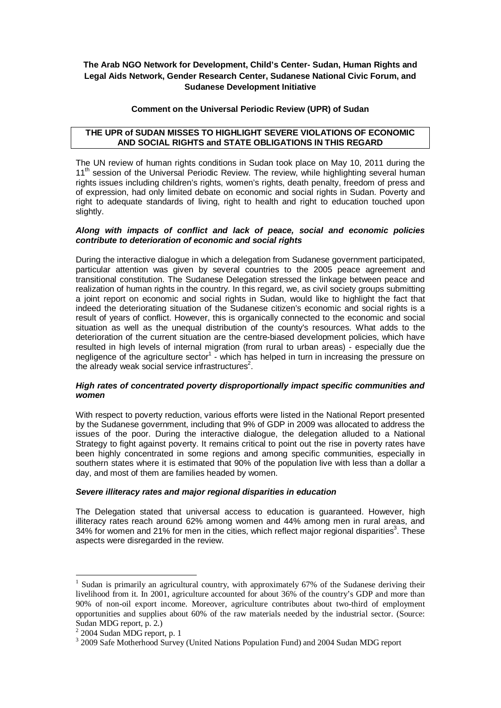# **The Arab NGO Network for Development, Child's Center- Sudan, Human Rights and Legal Aids Network, Gender Research Center, Sudanese National Civic Forum, and Sudanese Development Initiative**

## **Comment on the Universal Periodic Review (UPR) of Sudan**

## **THE UPR of SUDAN MISSES TO HIGHLIGHT SEVERE VIOLATIONS OF ECONOMIC AND SOCIAL RIGHTS and STATE OBLIGATIONS IN THIS REGARD**

The UN review of human rights conditions in Sudan took place on May 10, 2011 during the 11<sup>th</sup> session of the Universal Periodic Review. The review, while highlighting several human rights issues including children's rights, women's rights, death penalty, freedom of press and of expression, had only limited debate on economic and social rights in Sudan. Poverty and right to adequate standards of living, right to health and right to education touched upon slightly.

## *Along with impacts of conflict and lack of peace, social and economic policies contribute to deterioration of economic and social rights*

During the interactive dialogue in which a delegation from Sudanese government participated, particular attention was given by several countries to the 2005 peace agreement and transitional constitution. The Sudanese Delegation stressed the linkage between peace and realization of human rights in the country. In this regard, we, as civil society groups submitting a joint report on economic and social rights in Sudan, would like to highlight the fact that indeed the deteriorating situation of the Sudanese citizen's economic and social rights is a result of years of conflict. However, this is organically connected to the economic and social situation as well as the unequal distribution of the county's resources. What adds to the deterioration of the current situation are the centre-biased development policies, which have resulted in high levels of internal migration (from rural to urban areas) - especially due the negligence of the agriculture sector<sup>1</sup> - which has helped in turn in increasing the pressure on the already weak social service infrastructures $^2$ .

### *High rates of concentrated poverty disproportionally impact specific communities and women*

With respect to poverty reduction, various efforts were listed in the National Report presented by the Sudanese government, including that 9% of GDP in 2009 was allocated to address the issues of the poor. During the interactive dialogue, the delegation alluded to a National Strategy to fight against poverty. It remains critical to point out the rise in poverty rates have been highly concentrated in some regions and among specific communities, especially in southern states where it is estimated that 90% of the population live with less than a dollar a day, and most of them are families headed by women.

#### *Severe illiteracy rates and major regional disparities in education*

The Delegation stated that universal access to education is guaranteed. However, high illiteracy rates reach around 62% among women and 44% among men in rural areas, and 34% for women and 21% for men in the cities, which reflect major regional disparities<sup>3</sup>. These aspects were disregarded in the review.

 $\overline{a}$ 

<sup>&</sup>lt;sup>1</sup> Sudan is primarily an agricultural country, with approximately 67% of the Sudanese deriving their livelihood from it. In 2001, agriculture accounted for about 36% of the country's GDP and more than 90% of non-oil export income. Moreover, agriculture contributes about two-third of employment opportunities and supplies about 60% of the raw materials needed by the industrial sector. (Source: Sudan MDG report, p. 2.)

<sup>&</sup>lt;sup>2</sup> 2004 Sudan MDG report, p. 1

<sup>&</sup>lt;sup>3</sup> 2009 Safe Motherhood Survey (United Nations Population Fund) and 2004 Sudan MDG report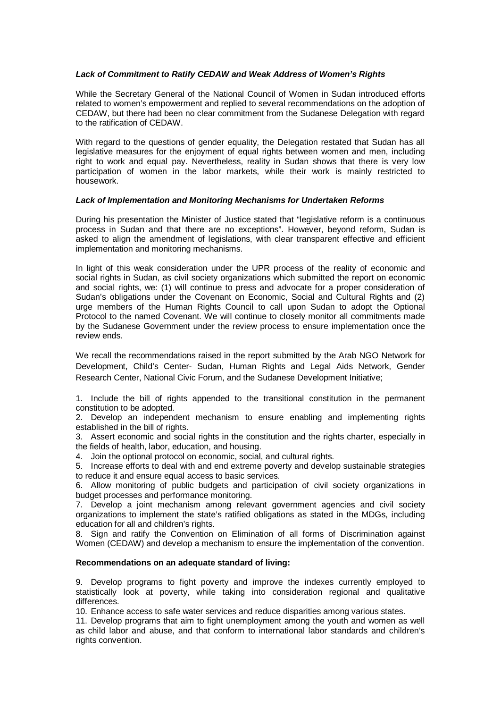### *Lack of Commitment to Ratify CEDAW and Weak Address of Women's Rights*

While the Secretary General of the National Council of Women in Sudan introduced efforts related to women's empowerment and replied to several recommendations on the adoption of CEDAW, but there had been no clear commitment from the Sudanese Delegation with regard to the ratification of CEDAW.

With regard to the questions of gender equality, the Delegation restated that Sudan has all legislative measures for the enjoyment of equal rights between women and men, including right to work and equal pay. Nevertheless, reality in Sudan shows that there is very low participation of women in the labor markets, while their work is mainly restricted to housework.

#### *Lack of Implementation and Monitoring Mechanisms for Undertaken Reforms*

During his presentation the Minister of Justice stated that "legislative reform is a continuous process in Sudan and that there are no exceptions". However, beyond reform, Sudan is asked to align the amendment of legislations, with clear transparent effective and efficient implementation and monitoring mechanisms.

In light of this weak consideration under the UPR process of the reality of economic and social rights in Sudan, as civil society organizations which submitted the report on economic and social rights, we: (1) will continue to press and advocate for a proper consideration of Sudan's obligations under the Covenant on Economic, Social and Cultural Rights and (2) urge members of the Human Rights Council to call upon Sudan to adopt the Optional Protocol to the named Covenant. We will continue to closely monitor all commitments made by the Sudanese Government under the review process to ensure implementation once the review ends.

We recall the recommendations raised in the report submitted by the Arab NGO Network for Development, Child's Center- Sudan, Human Rights and Legal Aids Network, Gender Research Center, National Civic Forum, and the Sudanese Development Initiative;

1. Include the bill of rights appended to the transitional constitution in the permanent constitution to be adopted.

2. Develop an independent mechanism to ensure enabling and implementing rights established in the bill of rights.

3. Assert economic and social rights in the constitution and the rights charter, especially in the fields of health, labor, education, and housing.

4. Join the optional protocol on economic, social, and cultural rights.

5. Increase efforts to deal with and end extreme poverty and develop sustainable strategies to reduce it and ensure equal access to basic services.

6. Allow monitoring of public budgets and participation of civil society organizations in budget processes and performance monitoring.

7. Develop a joint mechanism among relevant government agencies and civil society organizations to implement the state's ratified obligations as stated in the MDGs, including education for all and children's rights.

8. Sign and ratify the Convention on Elimination of all forms of Discrimination against Women (CEDAW) and develop a mechanism to ensure the implementation of the convention.

### **Recommendations on an adequate standard of living:**

9. Develop programs to fight poverty and improve the indexes currently employed to statistically look at poverty, while taking into consideration regional and qualitative differences.

10. Enhance access to safe water services and reduce disparities among various states.

11. Develop programs that aim to fight unemployment among the youth and women as well as child labor and abuse, and that conform to international labor standards and children's rights convention.